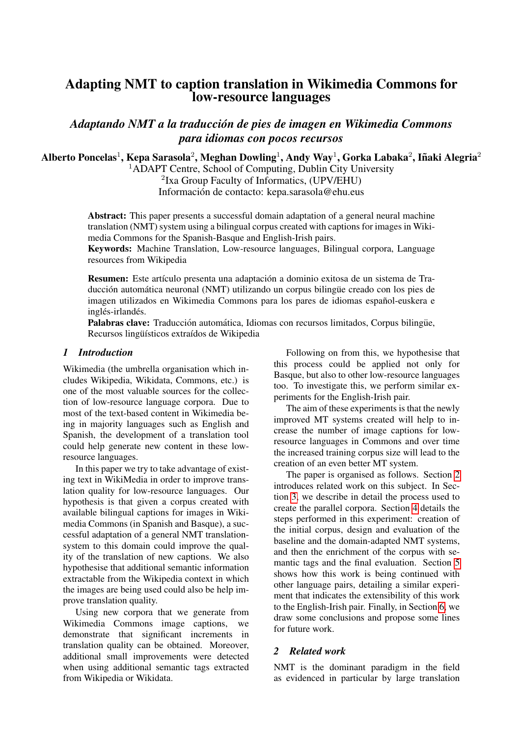# Adapting NMT to caption translation in Wikimedia Commons for low-resource languages

*Adaptando NMT a la traduccion de pies de imagen en Wikimedia Commons ´ para idiomas con pocos recursos*

Alberto Poncelas $^1$ , Kepa Sarasola $^2$ , Meghan Dowling $^1$ , Andy Way $^1$ , Gorka Labaka $^2$ , Iñaki Alegria $^2$ 

<sup>1</sup>ADAPT Centre, School of Computing, Dublin City University 2 Ixa Group Faculty of Informatics, (UPV/EHU) Información de contacto: kepa.sarasola@ehu.eus

Abstract: This paper presents a successful domain adaptation of a general neural machine translation (NMT) system using a bilingual corpus created with captions for images in Wikimedia Commons for the Spanish-Basque and English-Irish pairs.

Keywords: Machine Translation, Low-resource languages, Bilingual corpora, Language resources from Wikipedia

Resumen: Este artículo presenta una adaptación a dominio exitosa de un sistema de Traducción automática neuronal (NMT) utilizando un corpus bilingüe creado con los pies de imagen utilizados en Wikimedia Commons para los pares de idiomas español-euskera e inglés-irlandés.

Palabras clave: Traducción automática, Idiomas con recursos limitados, Corpus bilingüe, Recursos lingüísticos extraídos de Wikipedia

### *1 Introduction*

Wikimedia (the umbrella organisation which includes Wikipedia, Wikidata, Commons, etc.) is one of the most valuable sources for the collection of low-resource language corpora. Due to most of the text-based content in Wikimedia being in majority languages such as English and Spanish, the development of a translation tool could help generate new content in these lowresource languages.

In this paper we try to take advantage of existing text in WikiMedia in order to improve translation quality for low-resource languages. Our hypothesis is that given a corpus created with available bilingual captions for images in Wikimedia Commons (in Spanish and Basque), a successful adaptation of a general NMT translationsystem to this domain could improve the quality of the translation of new captions. We also hypothesise that additional semantic information extractable from the Wikipedia context in which the images are being used could also be help improve translation quality.

Using new corpora that we generate from Wikimedia Commons image captions, we demonstrate that significant increments in translation quality can be obtained. Moreover, additional small improvements were detected when using additional semantic tags extracted from Wikipedia or Wikidata.

Following on from this, we hypothesise that this process could be applied not only for Basque, but also to other low-resource languages too. To investigate this, we perform similar experiments for the English-Irish pair.

The aim of these experiments is that the newly improved MT systems created will help to increase the number of image captions for lowresource languages in Commons and over time the increased training corpus size will lead to the creation of an even better MT system.

The paper is organised as follows. Section [2](#page-0-0) introduces related work on this subject. In Section [3,](#page-1-0) we describe in detail the process used to create the parallel corpora. Section [4](#page-3-0) details the steps performed in this experiment: creation of the initial corpus, design and evaluation of the baseline and the domain-adapted NMT systems, and then the enrichment of the corpus with semantic tags and the final evaluation. Section [5](#page-5-0) shows how this work is being continued with other language pairs, detailing a similar experiment that indicates the extensibility of this work to the English-Irish pair. Finally, in Section [6,](#page-5-1) we draw some conclusions and propose some lines for future work.

# <span id="page-0-0"></span>*2 Related work*

NMT is the dominant paradigm in the field as evidenced in particular by large translation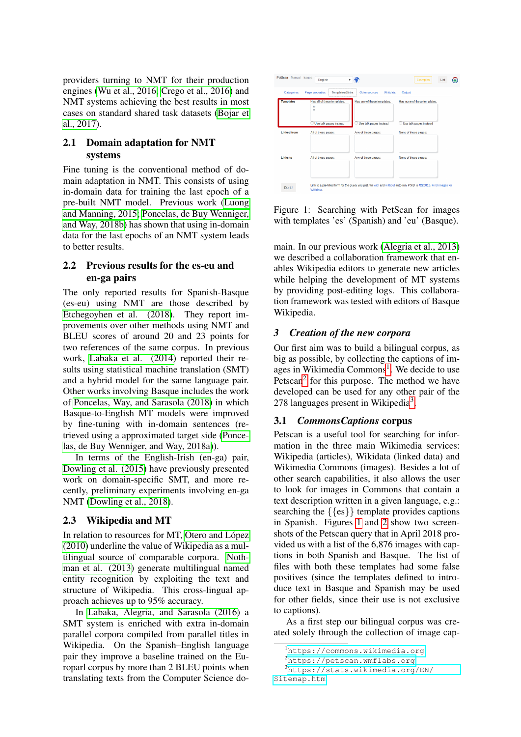providers turning to NMT for their production engines [\(Wu et al., 2016;](#page-7-0) [Crego et al., 2016\)](#page-6-0) and NMT systems achieving the best results in most cases on standard shared task datasets [\(Bojar et](#page-6-1) [al., 2017\)](#page-6-1).

# 2.1 Domain adaptation for NMT systems

Fine tuning is the conventional method of domain adaptation in NMT. This consists of using in-domain data for training the last epoch of a pre-built NMT model. Previous work [\(Luong](#page-7-1) [and Manning, 2015;](#page-7-1) [Poncelas, de Buy Wenniger,](#page-7-2) [and Way, 2018b\)](#page-7-2) has shown that using in-domain data for the last epochs of an NMT system leads to better results.

# 2.2 Previous results for the es-eu and en-ga pairs

The only reported results for Spanish-Basque (es-eu) using NMT are those described by [Etchegoyhen et al. \(2018\)](#page-6-2). They report improvements over other methods using NMT and BLEU scores of around 20 and 23 points for two references of the same corpus. In previous work, [Labaka et al. \(2014\)](#page-7-3) reported their results using statistical machine translation (SMT) and a hybrid model for the same language pair. Other works involving Basque includes the work of [Poncelas, Way, and Sarasola \(2018\)](#page-7-4) in which Basque-to-English MT models were improved by fine-tuning with in-domain sentences (retrieved using a approximated target side [\(Ponce](#page-7-5)[las, de Buy Wenniger, and Way, 2018a\)](#page-7-5)).

In terms of the English-Irish (en-ga) pair, [Dowling et al. \(2015\)](#page-6-3) have previously presented work on domain-specific SMT, and more recently, preliminary experiments involving en-ga NMT [\(Dowling et al., 2018\)](#page-6-4).

# 2.3 Wikipedia and MT

In relation to resources for MT, Otero and López [\(2010\)](#page-7-6) underline the value of Wikipedia as a multilingual source of comparable corpora. [Noth](#page-7-7)[man et al. \(2013\)](#page-7-7) generate multilingual named entity recognition by exploiting the text and structure of Wikipedia. This cross-lingual approach achieves up to 95% accuracy.

In [Labaka, Alegria, and Sarasola \(2016\)](#page-7-8) a SMT system is enriched with extra in-domain parallel corpora compiled from parallel titles in Wikipedia. On the Spanish–English language pair they improve a baseline trained on the Europarl corpus by more than 2 BLEU points when translating texts from the Computer Science do-



<span id="page-1-4"></span>Figure 1: Searching with PetScan for images with templates 'es' (Spanish) and 'eu' (Basque).

main. In our previous work [\(Alegria et al., 2013\)](#page-6-5) we described a collaboration framework that enables Wikipedia editors to generate new articles while helping the development of MT systems by providing post-editing logs. This collaboration framework was tested with editors of Basque Wikipedia.

## <span id="page-1-0"></span>*3 Creation of the new corpora*

Our first aim was to build a bilingual corpus, as big as possible, by collecting the captions of im-ages in Wikimedia Commons<sup>[1](#page-1-1)</sup>. We decide to use Petscan<sup>[2](#page-1-2)</sup> for this purpose. The method we have developed can be used for any other pair of the 278 languages present in Wikipedia<sup>[3](#page-1-3)</sup>.

# <span id="page-1-5"></span>3.1 *CommonsCaptions* corpus

Petscan is a useful tool for searching for information in the three main Wikimedia services: Wikipedia (articles), Wikidata (linked data) and Wikimedia Commons (images). Besides a lot of other search capabilities, it also allows the user to look for images in Commons that contain a text description written in a given language, e.g.: searching the {{es}} template provides captions in Spanish. Figures [1](#page-1-4) and [2](#page-2-0) show two screenshots of the Petscan query that in April 2018 provided us with a list of the 6,876 images with captions in both Spanish and Basque. The list of files with both these templates had some false positives (since the templates defined to introduce text in Basque and Spanish may be used for other fields, since their use is not exclusive to captions).

As a first step our bilingual corpus was created solely through the collection of image cap-

<span id="page-1-1"></span><sup>1</sup><https://commons.wikimedia.org>

<span id="page-1-3"></span><span id="page-1-2"></span><sup>2</sup><https://petscan.wmflabs.org>

<sup>3</sup>[https://stats.wikimedia.org/EN/](https://stats.wikimedia.org/EN/Sitemap.htm) [Sitemap.htm](https://stats.wikimedia.org/EN/Sitemap.htm)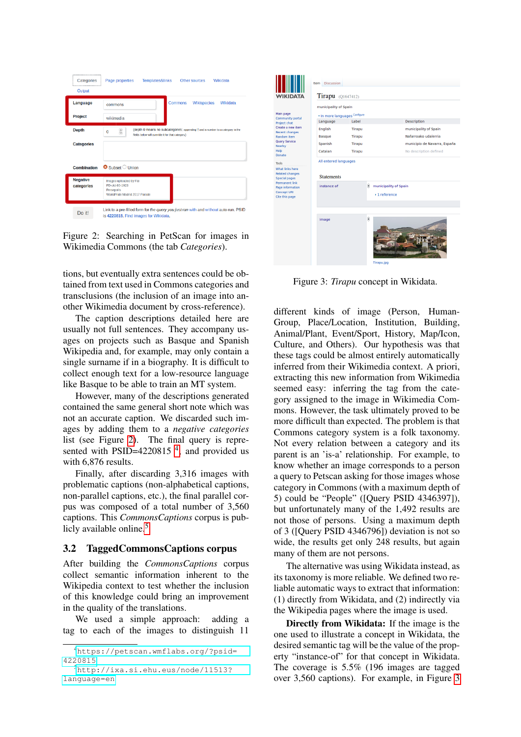| --------------------<br>Categories | Page properties<br><b>Templates&amp;links</b><br>Other sources<br>Wikidata                                                                                     |
|------------------------------------|----------------------------------------------------------------------------------------------------------------------------------------------------------------|
| Output                             |                                                                                                                                                                |
| Language                           | Wikispecies<br>Commons<br>Wikidata<br>commons                                                                                                                  |
| Project                            | wikimedia                                                                                                                                                      |
| <b>Depth</b>                       | (depth 0 means no subcategories; appending " and a number to a category in the<br>$\hat{\phantom{a}}$<br>0<br>fields below will override it for that category) |
| <b>Categories</b>                  |                                                                                                                                                                |
|                                    |                                                                                                                                                                |
| <b>Combination</b>                 | $\bullet$ Subset $\circlearrowright$ Union                                                                                                                     |
| <b>Negative</b><br>categories      | Images uploaded by Fæ<br>PD-old-80-1923<br>Persepolis<br>WorldPride Madrid 2017 Parade                                                                         |
| Do it!                             | Link to a pre-filled form for the query you just ran with and without auto-run. PSID<br>is 4220815. Find images for Wikidata.                                  |

<span id="page-2-0"></span>Figure 2: Searching in PetScan for images in Wikimedia Commons (the tab *Categories*).

tions, but eventually extra sentences could be obtained from text used in Commons categories and transclusions (the inclusion of an image into another Wikimedia document by cross-reference).

The caption descriptions detailed here are usually not full sentences. They accompany usages on projects such as Basque and Spanish Wikipedia and, for example, may only contain a single surname if in a biography. It is difficult to collect enough text for a low-resource language like Basque to be able to train an MT system.

However, many of the descriptions generated contained the same general short note which was not an accurate caption. We discarded such images by adding them to a *negative categories* list (see Figure [2\)](#page-2-0). The final query is repre-sented with PSID=[4](#page-2-1)220815 $<sup>4</sup>$ , and provided us</sup> with 6,876 results.

Finally, after discarding 3,316 images with problematic captions (non-alphabetical captions, non-parallel captions, etc.), the final parallel corpus was composed of a total number of 3,560 captions. This *CommonsCaptions* corpus is pub-licly available online.<sup>[5](#page-2-2)</sup>

#### 3.2 TaggedCommonsCaptions corpus

After building the *CommonsCaptions* corpus collect semantic information inherent to the Wikipedia context to test whether the inclusion of this knowledge could bring an improvement in the quality of the translations.

We used a simple approach: adding a tag to each of the images to distinguish 11

|                                                                                   | Item Discussion                                        |        |                                             |                              |  |  |
|-----------------------------------------------------------------------------------|--------------------------------------------------------|--------|---------------------------------------------|------------------------------|--|--|
| <b>WIKIDATA</b>                                                                   | Tirapu (Q1647412)                                      |        |                                             |                              |  |  |
| Main page<br><b>Community portal</b>                                              | municipality of Spain<br>* In more languages Configure |        |                                             |                              |  |  |
| Project chat                                                                      | Language                                               | Label  |                                             | <b>Description</b>           |  |  |
| Create a new item<br><b>Recent changes</b>                                        | English                                                | Tirapu |                                             | municipality of Spain        |  |  |
| Random item                                                                       | <b>Basque</b>                                          | Tirapu |                                             | Nafarroako udalerria         |  |  |
| <b>Ouery Service</b><br>Nearby                                                    | Spanish                                                | Tirapu |                                             | municipio de Navarra, España |  |  |
| Help<br>Donate                                                                    | Catalan                                                | Tirapu |                                             | No description defined       |  |  |
| <b>Tools</b>                                                                      | All entered languages                                  |        |                                             |                              |  |  |
| What links here<br><b>Related changes</b><br><b>Special pages</b>                 | <b>Statements</b>                                      |        |                                             |                              |  |  |
| <b>Permanent link</b><br>Page information<br><b>Concept URI</b><br>Cite this page | instance of                                            |        | ŝ<br>municipality of Spain<br>> 1 reference |                              |  |  |
|                                                                                   |                                                        |        |                                             |                              |  |  |
|                                                                                   | image                                                  |        | g<br>Tirapu.jpg                             |                              |  |  |

<span id="page-2-3"></span>Figure 3: *Tirapu* concept in Wikidata.

different kinds of image (Person, Human-Group, Place/Location, Institution, Building, Animal/Plant, Event/Sport, History, Map/Icon, Culture, and Others). Our hypothesis was that these tags could be almost entirely automatically inferred from their Wikimedia context. A priori, extracting this new information from Wikimedia seemed easy: inferring the tag from the category assigned to the image in Wikimedia Commons. However, the task ultimately proved to be more difficult than expected. The problem is that Commons category system is a folk taxonomy. Not every relation between a category and its parent is an 'is-a' relationship. For example, to know whether an image corresponds to a person a query to Petscan asking for those images whose category in Commons (with a maximum depth of 5) could be "People" ([Query PSID 4346397]), but unfortunately many of the 1,492 results are not those of persons. Using a maximum depth of 3 ([Query PSID 4346796]) deviation is not so wide, the results get only 248 results, but again many of them are not persons.

The alternative was using Wikidata instead, as its taxonomy is more reliable. We defined two reliable automatic ways to extract that information: (1) directly from Wikidata, and (2) indirectly via the Wikipedia pages where the image is used.

Directly from Wikidata: If the image is the one used to illustrate a concept in Wikidata, the desired semantic tag will be the value of the property "instance-of" for that concept in Wikidata. The coverage is 5.5% (196 images are tagged over 3,560 captions). For example, in Figure [3](#page-2-3)

<span id="page-2-1"></span><sup>4</sup>[https://petscan.wmflabs.org/?psid=](https://petscan.wmflabs.org/?psid=4220815) [4220815](https://petscan.wmflabs.org/?psid=4220815)

<span id="page-2-2"></span><sup>5</sup>[http://ixa.si.ehu.eus/node/11513?](http://ixa.si.ehu.eus/node/11513?language=en) [language=en](http://ixa.si.ehu.eus/node/11513?language=en)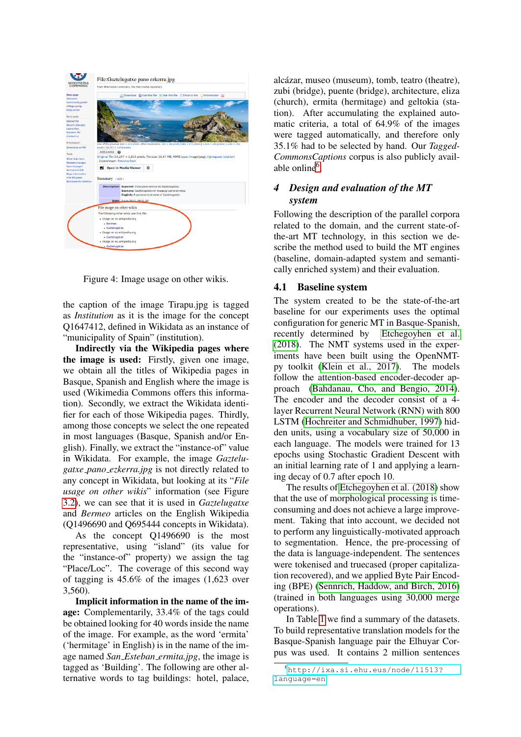

Figure 4: Image usage on other wikis.

the caption of the image Tirapu.jpg is tagged as *Institution* as it is the image for the concept Q1647412, defined in Wikidata as an instance of "municipality of Spain" (institution).

Indirectly via the Wikipedia pages where the image is used: Firstly, given one image, we obtain all the titles of Wikipedia pages in Basque, Spanish and English where the image is used (Wikimedia Commons offers this information). Secondly, we extract the Wikidata identifier for each of those Wikipedia pages. Thirdly, among those concepts we select the one repeated in most languages (Basque, Spanish and/or English). Finally, we extract the "instance-of" value in Wikidata. For example, the image *Gaztelugatxe pano ezkerra.jpg* is not directly related to any concept in Wikidata, but looking at its "*File usage on other wikis*" information (see Figure [3.2\)](#page-2-3), we can see that it is used in *Gaztelugatxe* and *Bermeo* articles on the English Wikipedia (Q1496690 and Q695444 concepts in Wikidata).

As the concept Q1496690 is the most representative, using "island" (its value for the "instance-of" property) we assign the tag "Place/Loc". The coverage of this second way of tagging is 45.6% of the images (1,623 over 3,560).

Implicit information in the name of the image: Complementarily, 33.4% of the tags could be obtained looking for 40 words inside the name of the image. For example, as the word 'ermita' ('hermitage' in English) is in the name of the image named *San Esteban ermita.jpg*, the image is tagged as 'Building'. The following are other alternative words to tag buildings: hotel, palace,

alcázar, museo (museum), tomb, teatro (theatre), zubi (bridge), puente (bridge), architecture, eliza (church), ermita (hermitage) and geltokia (station). After accumulating the explained automatic criteria, a total of 64.9% of the images were tagged automatically, and therefore only 35.1% had to be selected by hand. Our *Tagged-CommonsCaptions* corpus is also publicly avail-able online<sup>[6](#page-3-1)</sup>.

# <span id="page-3-0"></span>*4 Design and evaluation of the MT system*

Following the description of the parallel corpora related to the domain, and the current state-ofthe-art MT technology, in this section we describe the method used to build the MT engines (baseline, domain-adapted system and semantically enriched system) and their evaluation.

## <span id="page-3-2"></span>4.1 Baseline system

The system created to be the state-of-the-art baseline for our experiments uses the optimal configuration for generic MT in Basque-Spanish, recently determined by [Etchegoyhen et al.](#page-6-2) [\(2018\)](#page-6-2). The NMT systems used in the experiments have been built using the OpenNMTpy toolkit [\(Klein et al., 2017\)](#page-7-9). The models follow the attention-based encoder-decoder approach [\(Bahdanau, Cho, and Bengio, 2014\)](#page-6-6). The encoder and the decoder consist of a 4 layer Recurrent Neural Network (RNN) with 800 LSTM [\(Hochreiter and Schmidhuber, 1997\)](#page-7-10) hidden units, using a vocabulary size of 50,000 in each language. The models were trained for 13 epochs using Stochastic Gradient Descent with an initial learning rate of 1 and applying a learning decay of 0.7 after epoch 10.

The results of [Etchegoyhen et al. \(2018\)](#page-6-2) show that the use of morphological processing is timeconsuming and does not achieve a large improvement. Taking that into account, we decided not to perform any linguistically-motivated approach to segmentation. Hence, the pre-processing of the data is language-independent. The sentences were tokenised and truecased (proper capitalization recovered), and we applied Byte Pair Encoding (BPE) [\(Sennrich, Haddow, and Birch, 2016\)](#page-7-11) (trained in both languages using 30,000 merge operations).

In Table [1](#page-4-0) we find a summary of the datasets. To build representative translation models for the Basque-Spanish language pair the Elhuyar Corpus was used. It contains 2 million sentences

<span id="page-3-1"></span><sup>6</sup>[http://ixa.si.ehu.eus/node/11513?](http://ixa.si.ehu.eus/node/11513?language=en) [language=en](http://ixa.si.ehu.eus/node/11513?language=en)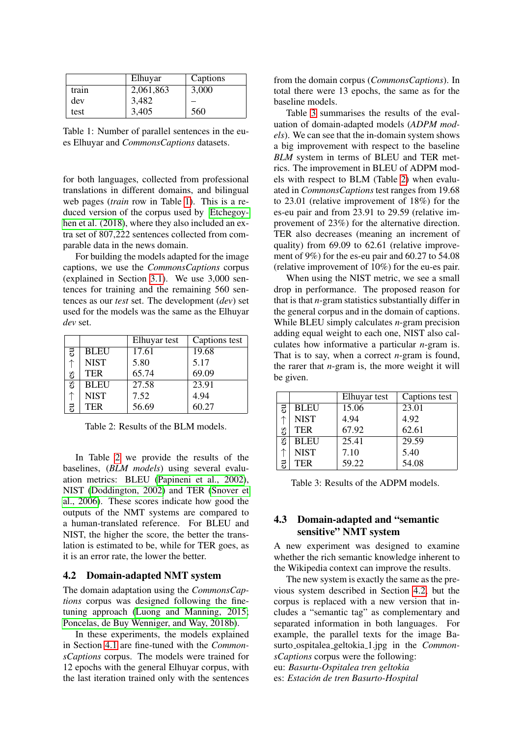|       | Elhuyar   | Captions |
|-------|-----------|----------|
| train | 2,061,863 | 3,000    |
| dev   | 3,482     |          |
| test  | 3,405     | 560      |

<span id="page-4-0"></span>Table 1: Number of parallel sentences in the eues Elhuyar and *CommonsCaptions* datasets.

for both languages, collected from professional translations in different domains, and bilingual web pages (*train* row in Table [1\)](#page-4-0). This is a reduced version of the corpus used by [Etchegoy](#page-6-2)[hen et al. \(2018\)](#page-6-2), where they also included an extra set of 807,222 sentences collected from comparable data in the news domain.

For building the models adapted for the image captions, we use the *CommonsCaptions* corpus (explained in Section [3.1\)](#page-1-5). We use 3,000 sentences for training and the remaining 560 sentences as our *test* set. The development (*dev*) set used for the models was the same as the Elhuyar *dev* set.

|    |             | Elhuyar test | Captions test |
|----|-------------|--------------|---------------|
| 5  | <b>BLEU</b> | 17.61        | 19.68         |
|    | <b>NIST</b> | 5.80         | 5.17          |
| SЭ | <b>TER</b>  | 65.74        | 69.09         |
| SЭ | <b>BLEU</b> | 27.58        | 23.91         |
|    | <b>NIST</b> | 7.52         | 4.94          |
| 콩  | <b>TER</b>  | 56.69        | 60.27         |

<span id="page-4-1"></span>Table 2: Results of the BLM models.

In Table [2](#page-4-1) we provide the results of the baselines, (*BLM models*) using several evaluation metrics: BLEU [\(Papineni et al., 2002\)](#page-7-12), NIST [\(Doddington, 2002\)](#page-6-7) and TER [\(Snover et](#page-7-13) [al., 2006\)](#page-7-13). These scores indicate how good the outputs of the NMT systems are compared to a human-translated reference. For BLEU and NIST, the higher the score, the better the translation is estimated to be, while for TER goes, as it is an error rate, the lower the better.

#### <span id="page-4-3"></span>4.2 Domain-adapted NMT system

The domain adaptation using the *CommonsCaptions* corpus was designed following the finetuning approach [\(Luong and Manning, 2015;](#page-7-1) [Poncelas, de Buy Wenniger, and Way, 2018b\)](#page-7-2).

In these experiments, the models explained in Section [4.1](#page-3-2) are fine-tuned with the *CommonsCaptions* corpus. The models were trained for 12 epochs with the general Elhuyar corpus, with the last iteration trained only with the sentences from the domain corpus (*CommonsCaptions*). In total there were 13 epochs, the same as for the baseline models.

Table [3](#page-4-2) summarises the results of the evaluation of domain-adapted models (*ADPM models*). We can see that the in-domain system shows a big improvement with respect to the baseline *BLM* system in terms of BLEU and TER metrics. The improvement in BLEU of ADPM models with respect to BLM (Table [2\)](#page-4-1) when evaluated in *CommonsCaptions* test ranges from 19.68 to 23.01 (relative improvement of 18%) for the es-eu pair and from 23.91 to 29.59 (relative improvement of 23%) for the alternative direction. TER also decreases (meaning an increment of quality) from 69.09 to 62.61 (relative improvement of 9%) for the es-eu pair and 60.27 to 54.08 (relative improvement of 10%) for the eu-es pair.

When using the NIST metric, we see a small drop in performance. The proposed reason for that is that *n*-gram statistics substantially differ in the general corpus and in the domain of captions. While BLEU simply calculates *n*-gram precision adding equal weight to each one, NIST also calculates how informative a particular *n*-gram is. That is to say, when a correct *n*-gram is found, the rarer that *n*-gram is, the more weight it will be given.

|                |             | Elhuyar test | Captions test |
|----------------|-------------|--------------|---------------|
| $\overline{5}$ | <b>BLEU</b> | 15.06        | 23.01         |
|                | <b>NIST</b> | 4.94         | 4.92          |
| Sə             | <b>TER</b>  | 67.92        | 62.61         |
| $\mathbf{c}$ s | BLEU        | 25.41        | 29.59         |
|                | <b>NIST</b> | 7.10         | 5.40          |
|                | <b>TER</b>  | 59.22        | 54.08         |

<span id="page-4-2"></span>Table 3: Results of the ADPM models.

### 4.3 Domain-adapted and "semantic sensitive" NMT system

A new experiment was designed to examine whether the rich semantic knowledge inherent to the Wikipedia context can improve the results.

The new system is exactly the same as the previous system described in Section [4.2,](#page-4-3) but the corpus is replaced with a new version that includes a "semantic tag" as complementary and separated information in both languages. For example, the parallel texts for the image Basurto ospitalea geltokia 1.jpg in the *CommonsCaptions* corpus were the following: eu: *Basurtu-Ospitalea tren geltokia* es: *Estacion de tren Basurto-Hospital ´*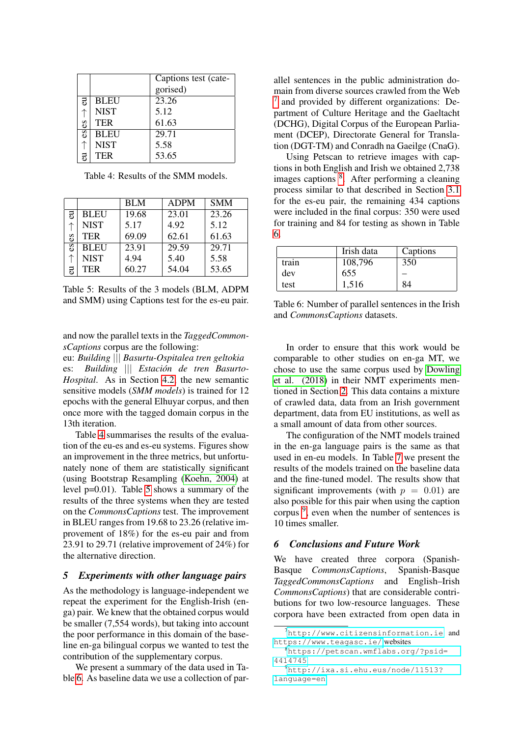|                |             | Captions test (cate- |  |
|----------------|-------------|----------------------|--|
|                |             | gorised)             |  |
| 5              | <b>BLEU</b> | 23.26                |  |
|                | <b>NIST</b> | 5.12                 |  |
| 89             | <b>TER</b>  | 61.63                |  |
| $\mathbf{c}$ s | <b>BLEU</b> | 29.71                |  |
|                | <b>NIST</b> | 5.58                 |  |
| నె             | <b>TER</b>  | 53.65                |  |

<span id="page-5-2"></span>Table 4: Results of the SMM models.

|    |             | <b>BLM</b> | <b>ADPM</b> | <b>SMM</b> |
|----|-------------|------------|-------------|------------|
| 5  | <b>BLEU</b> | 19.68      | 23.01       | 23.26      |
|    | <b>NIST</b> | 5.17       | 4.92        | 5.12       |
| S  | <b>TER</b>  | 69.09      | 62.61       | 61.63      |
| δř | <b>BLEU</b> | 23.91      | 29.59       | 29.71      |
|    | <b>NIST</b> | 4.94       | 5.40        | 5.58       |
| నె | <b>TER</b>  | 60.27      | 54.04       | 53.65      |

<span id="page-5-3"></span>Table 5: Results of the 3 models (BLM, ADPM and SMM) using Captions test for the es-eu pair.

and now the parallel texts in the *TaggedCommonsCaptions* corpus are the following:

eu: *Building* ||| *Basurtu-Ospitalea tren geltokia* es: *Building* ||| *Estacion de tren Basurto- ´ Hospital*. As in Section [4.2,](#page-4-3) the new semantic sensitive models (*SMM models*) is trained for 12 epochs with the general Elhuyar corpus, and then once more with the tagged domain corpus in the 13th iteration.

Table [4](#page-5-2) summarises the results of the evaluation of the eu-es and es-eu systems. Figures show an improvement in the three metrics, but unfortunately none of them are statistically significant (using Bootstrap Resampling [\(Koehn, 2004\)](#page-7-14) at level p=0.01). Table [5](#page-5-3) shows a summary of the results of the three systems when they are tested on the *CommonsCaptions* test. The improvement in BLEU ranges from 19.68 to 23.26 (relative improvement of 18%) for the es-eu pair and from 23.91 to 29.71 (relative improvement of 24%) for the alternative direction.

### <span id="page-5-0"></span>*5 Experiments with other language pairs*

As the methodology is language-independent we repeat the experiment for the English-Irish (enga) pair. We knew that the obtained corpus would be smaller (7,554 words), but taking into account the poor performance in this domain of the baseline en-ga bilingual corpus we wanted to test the contribution of the supplementary corpus.

We present a summary of the data used in Table [6.](#page-5-4) As baseline data we use a collection of parallel sentences in the public administration domain from diverse sources crawled from the Web [7](#page-5-5) and provided by different organizations: Department of Culture Heritage and the Gaeltacht (DCHG), Digital Corpus of the European Parliament (DCEP), Directorate General for Translation (DGT-TM) and Conradh na Gaeilge (CnaG).

Using Petscan to retrieve images with captions in both English and Irish we obtained 2,738 images captions <sup>[8](#page-5-6)</sup>. After performing a cleaning process similar to that described in Section [3.1](#page-1-5) for the es-eu pair, the remaining 434 captions were included in the final corpus: 350 were used for training and 84 for testing as shown in Table [6.](#page-5-4)

|       | Irish data | Captions |
|-------|------------|----------|
| train | 108,796    | 350      |
| dev   | 655        |          |
| test  | 1,516      | 84       |

<span id="page-5-4"></span>Table 6: Number of parallel sentences in the Irish and *CommonsCaptions* datasets.

In order to ensure that this work would be comparable to other studies on en-ga MT, we chose to use the same corpus used by [Dowling](#page-6-4) [et al. \(2018\)](#page-6-4) in their NMT experiments mentioned in Section [2.](#page-0-0) This data contains a mixture of crawled data, data from an Irish government department, data from EU institutions, as well as a small amount of data from other sources.

The configuration of the NMT models trained in the en-ga language pairs is the same as that used in en-eu models. In Table [7](#page-6-8) we present the results of the models trained on the baseline data and the fine-tuned model. The results show that significant improvements (with  $p = 0.01$ ) are also possible for this pair when using the caption corpus <sup>[9](#page-5-7)</sup>, even when the number of sentences is 10 times smaller.

### <span id="page-5-1"></span>*6 Conclusions and Future Work*

We have created three corpora (Spanish-Basque *CommonsCaptions*, Spanish-Basque *TaggedCommonsCaptions* and English–Irish *CommonsCaptions*) that are considerable contributions for two low-resource languages. These corpora have been extracted from open data in

<span id="page-5-5"></span><sup>7</sup><http://www.citizensinformation.ie> and <https://www.teagasc.ie/> websites

<span id="page-5-6"></span><sup>8</sup>[https://petscan.wmflabs.org/?psid=](https://petscan.wmflabs.org/?psid=4414745) [4414745](https://petscan.wmflabs.org/?psid=4414745)

<span id="page-5-7"></span><sup>9</sup>[http://ixa.si.ehu.eus/node/11513?](http://ixa.si.ehu.eus/node/11513?language=en) [language=en](http://ixa.si.ehu.eus/node/11513?language=en)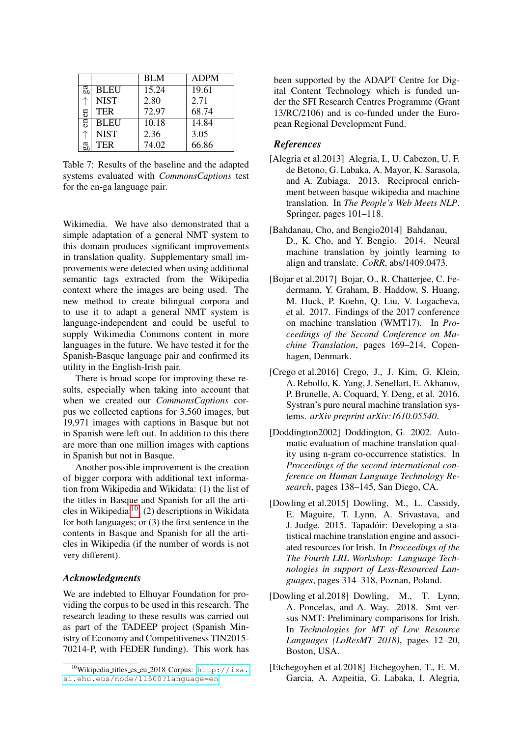|    |             | <b>BLM</b> | <b>ADPM</b> |
|----|-------------|------------|-------------|
| ga | <b>BLEU</b> | 15.24      | 19.61       |
|    | <b>NIST</b> | 2.80       | 2.71        |
| £  | <b>TER</b>  | 72.97      | 68.74       |
| en | <b>BLEU</b> | 10.18      | 14.84       |
|    | <b>NIST</b> | 2.36       | 3.05        |
| ದೆ | <b>TER</b>  | 74.02      | 66.86       |

<span id="page-6-8"></span>Table 7: Results of the baseline and the adapted systems evaluated with *CommonsCaptions* test for the en-ga language pair.

Wikimedia. We have also demonstrated that a simple adaptation of a general NMT system to this domain produces significant improvements in translation quality. Supplementary small improvements were detected when using additional semantic tags extracted from the Wikipedia context where the images are being used. The new method to create bilingual corpora and to use it to adapt a general NMT system is language-independent and could be useful to supply Wikimedia Commons content in more languages in the future. We have tested it for the Spanish-Basque language pair and confirmed its utility in the English-Irish pair.

There is broad scope for improving these results, especially when taking into account that when we created our *CommonsCaptions* corpus we collected captions for 3,560 images, but 19,971 images with captions in Basque but not in Spanish were left out. In addition to this there are more than one million images with captions in Spanish but not in Basque.

Another possible improvement is the creation of bigger corpora with additional text information from Wikipedia and Wikidata: (1) the list of the titles in Basque and Spanish for all the articles in Wikipedia [10](#page-6-9); (2) descriptions in Wikidata for both languages; or (3) the first sentence in the contents in Basque and Spanish for all the articles in Wikipedia (if the number of words is not very different).

#### *Acknowledgments*

We are indebted to Elhuyar Foundation for providing the corpus to be used in this research. The research leading to these results was carried out as part of the TADEEP project (Spanish Ministry of Economy and Competitiveness TIN2015- 70214-P, with FEDER funding). This work has

been supported by the ADAPT Centre for Digital Content Technology which is funded under the SFI Research Centres Programme (Grant 13/RC/2106) and is co-funded under the European Regional Development Fund.

### *References*

- <span id="page-6-5"></span>[Alegria et al.2013] Alegria, I., U. Cabezon, U. F. de Betono, G. Labaka, A. Mayor, K. Sarasola, and A. Zubiaga. 2013. Reciprocal enrichment between basque wikipedia and machine translation. In *The People's Web Meets NLP*. Springer, pages 101–118.
- <span id="page-6-6"></span>[Bahdanau, Cho, and Bengio2014] Bahdanau, D., K. Cho, and Y. Bengio. 2014. Neural machine translation by jointly learning to align and translate. *CoRR*, abs/1409.0473.
- <span id="page-6-1"></span>[Bojar et al.2017] Bojar, O., R. Chatterjee, C. Federmann, Y. Graham, B. Haddow, S. Huang, M. Huck, P. Koehn, Q. Liu, V. Logacheva, et al. 2017. Findings of the 2017 conference on machine translation (WMT17). In *Proceedings of the Second Conference on Machine Translation*, pages 169–214, Copenhagen, Denmark.
- <span id="page-6-0"></span>[Crego et al.2016] Crego, J., J. Kim, G. Klein, A. Rebollo, K. Yang, J. Senellart, E. Akhanov, P. Brunelle, A. Coquard, Y. Deng, et al. 2016. Systran's pure neural machine translation systems. *arXiv preprint arXiv:1610.05540*.
- <span id="page-6-7"></span>[Doddington2002] Doddington, G. 2002. Automatic evaluation of machine translation quality using n-gram co-occurrence statistics. In *Proceedings of the second international conference on Human Language Technology Research*, pages 138–145, San Diego, CA.
- <span id="page-6-3"></span>[Dowling et al.2015] Dowling, M., L. Cassidy, E. Maguire, T. Lynn, A. Srivastava, and J. Judge. 2015. Tapadoir: Developing a sta- ´ tistical machine translation engine and associated resources for Irish. In *Proceedings of the The Fourth LRL Workshop: Language Technologies in support of Less-Resourced Languages*, pages 314–318, Poznan, Poland.
- <span id="page-6-4"></span>[Dowling et al.2018] Dowling, M., T. Lynn, A. Poncelas, and A. Way. 2018. Smt versus NMT: Preliminary comparisons for Irish. In *Technologies for MT of Low Resource Languages (LoResMT 2018)*, pages 12–20, Boston, USA.
- <span id="page-6-2"></span>[Etchegoyhen et al.2018] Etchegoyhen, T., E. M. Garcia, A. Azpeitia, G. Labaka, I. Alegria,

<span id="page-6-9"></span> $10$ Wikipedia titles es eu 2018 Corpus: [http://ixa.](http://ixa.si.ehu.eus/node/11500?language=en) [si.ehu.eus/node/11500?language=en](http://ixa.si.ehu.eus/node/11500?language=en)